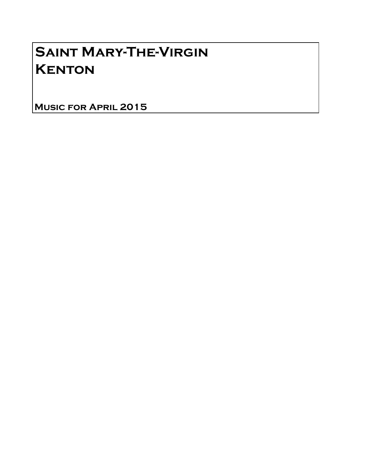## Saint Mary-The-Virgin **KENTON**

Music for April 2015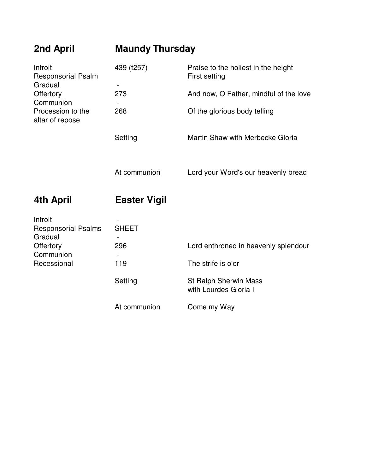| 2nd April                                                                                                         | <b>Maundy Thursday</b> |                                                      |
|-------------------------------------------------------------------------------------------------------------------|------------------------|------------------------------------------------------|
| Introit<br><b>Responsorial Psalm</b><br>Gradual<br>Offertory<br>Communion<br>Procession to the<br>altar of repose | 439 (t257)             | Praise to the holiest in the height<br>First setting |
|                                                                                                                   | 273                    | And now, O Father, mindful of the love               |
|                                                                                                                   | 268                    | Of the glorious body telling                         |
|                                                                                                                   | Setting                | Martin Shaw with Merbecke Gloria                     |
|                                                                                                                   | At communion           | Lord your Word's our heavenly bread                  |
| 4th April                                                                                                         | <b>Easter Vigil</b>    |                                                      |
| Introit<br><b>Responsorial Psalms</b><br>Gradual<br>Offertory<br>Communion<br>Recessional                         | <b>SHEET</b>           |                                                      |
|                                                                                                                   | 296                    | Lord enthroned in heavenly splendour                 |
|                                                                                                                   | 119                    | The strife is o'er                                   |
|                                                                                                                   | Setting                | St Ralph Sherwin Mass<br>with Lourdes Gloria I       |
|                                                                                                                   | At communion           | Come my Way                                          |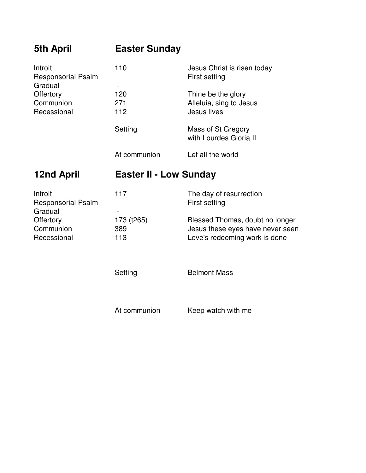| <b>5th April</b>                                 | <b>Easter Sunday</b>                              |                                                                                                      |
|--------------------------------------------------|---------------------------------------------------|------------------------------------------------------------------------------------------------------|
| Introit<br><b>Responsorial Psalm</b>             | 110                                               | Jesus Christ is risen today<br>First setting                                                         |
| Gradual<br>Offertory<br>Communion<br>Recessional | $\qquad \qquad \blacksquare$<br>120<br>271<br>112 | Thine be the glory<br>Alleluia, sing to Jesus<br>Jesus lives                                         |
|                                                  | Setting                                           | Mass of St Gregory<br>with Lourdes Gloria II                                                         |
|                                                  | At communion                                      | Let all the world                                                                                    |
| <b>12nd April</b>                                | <b>Easter II - Low Sunday</b>                     |                                                                                                      |
|                                                  |                                                   |                                                                                                      |
| Introit<br><b>Responsorial Psalm</b>             | 117                                               | The day of resurrection<br>First setting                                                             |
| Gradual<br>Offertory<br>Communion<br>Recessional | 173 (t265)<br>389<br>113                          | Blessed Thomas, doubt no longer<br>Jesus these eyes have never seen<br>Love's redeeming work is done |
|                                                  | Setting                                           | <b>Belmont Mass</b>                                                                                  |